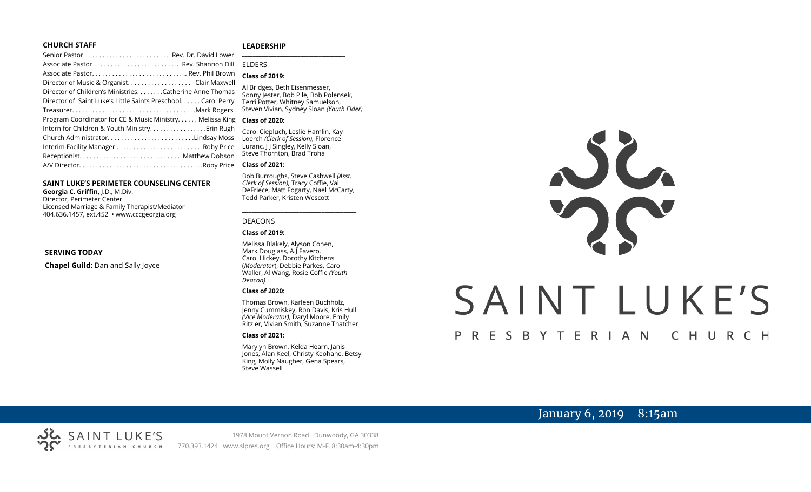#### **CHURCH STAFF**

#### **LEADERSHIP**

| Senior Pastor  Rev. Dr. David Lower                           | $\overline{a}$ |
|---------------------------------------------------------------|----------------|
| Associate Pastor  Rev. Shannon Dill                           | F              |
| Associate Pastor Rev. Phil Brown                              |                |
|                                                               |                |
| Director of Children's MinistriesCatherine Anne Thomas        | F              |
| Director of Saint Luke's Little Saints Preschool. Carol Perry | ı              |
|                                                               | S              |
| Program Coordinator for CE & Music Ministry Melissa King      | C              |
|                                                               | $\epsilon$     |
| Church AdministratorLindsay Moss                              | $\overline{1}$ |
|                                                               | L              |
|                                                               | S              |
|                                                               | C              |
|                                                               |                |

#### **SAINT LUKE'S PERIMETER COUNSELING CENTER**

**Georgia C. Griffin,** J.D., M.Div. Director, Perimeter Center Licensed Marriage & Family Therapist/Mediator 404.636.1457, ext.452 • www.cccgeorgia.org

#### **SERVING TODAY**

**Chapel Guild:** Dan and Sally Joyce

#### **\_\_\_\_\_\_\_\_\_\_\_\_\_\_\_\_\_\_\_\_\_\_\_\_\_\_\_\_\_\_\_\_\_\_\_\_\_\_\_** ELDERS

#### **Class of 2019:**

Al Bridges, Beth Eisenmesser, Sonny Jester, Bob Pile, Bob Polensek, Terri Potter, Whitney Samuelson, Steven Vivian*,* Sydney Sloan *(Youth Elder)*

#### **Class of 2020:**

Carol Ciepluch, Leslie Hamlin, Kay Loerch *(Clerk of Session),* Florence Luranc, J J Singley, Kelly Sloan, Steve Thornton, Brad Troha

#### **Class of 2021:**

Bob Burroughs, Steve Cashwell *(Asst. Clerk of Session),* Tracy Coffie, Val DeFriece, Matt Fogarty, Nael McCarty, Todd Parker, Kristen Wescott

\_\_\_\_\_\_\_\_\_\_\_\_\_\_\_\_\_\_\_\_\_\_\_\_\_\_\_\_\_\_\_\_\_\_\_\_

#### DEACONS

#### **Class of 2019:**

Melissa Blakely, Alyson Cohen, Mark Douglass, A.J.Favero, Carol Hickey, Dorothy Kitchens (*Moderator*), Debbie Parkes, Carol Waller, Al Wang, Rosie Coffie *(Youth Deacon)* 

#### **Class of 2020:**

Thomas Brown, Karleen Buchholz, Jenny Cummiskey, Ron Davis, Kris Hull *(Vice Moderator),* Daryl Moore, Emily Ritzler, Vivian Smith, Suzanne Thatcher

#### **Class of 2021:**

Marylyn Brown, Kelda Hearn, Janis Jones, Alan Keel, Christy Keohane, Betsy King, Molly Naugher, Gena Spears, Steve Wassell



# January 6, 2019 8:15am

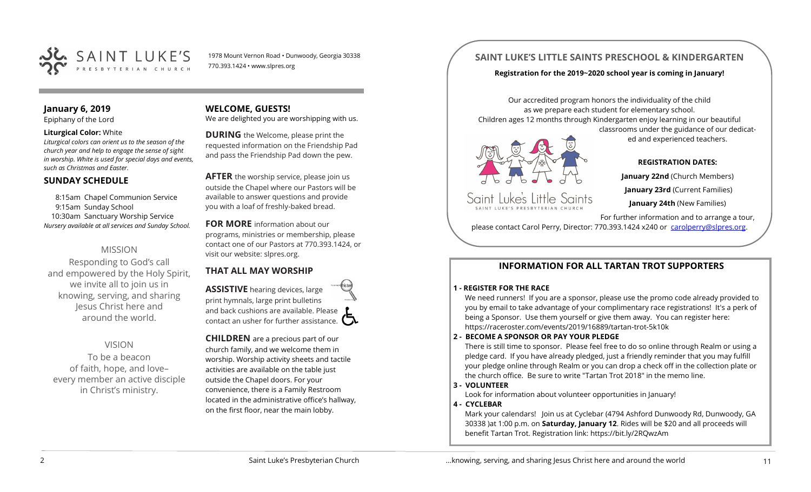

1978 Mount Vernon Road • Dunwoody, Georgia 30338 770.393.1424 • www.slpres.org

## **January 6, 2019**

Epiphany of the Lord

#### **Liturgical Color:** White

*Liturgical colors can orient us to the season of the church year and help to engage the sense of sight in worship. White is used for special days and events, such as Christmas and Easter.*

#### **SUNDAY SCHEDULE**

8:15am Chapel Communion Service 9:15am Sunday School 10:30am Sanctuary Worship Service *Nursery available at all services and Sunday School.* 

## MISSION

Responding to God's call and empowered by the Holy Spirit, we invite all to join us in knowing, serving, and sharing Jesus Christ here and around the world.

#### VISION

To be a beacon of faith, hope, and love– every member an active disciple in Christ's ministry.

## **WELCOME, GUESTS!**

We are delighted you are worshipping with us.

**DURING** the Welcome, please print the requested information on the Friendship Pad and pass the Friendship Pad down the pew.

**AFTER** the worship service, please join us outside the Chapel where our Pastors will be available to answer questions and provide you with a loaf of freshly-baked bread.

#### **FOR MORE** information about our programs, ministries or membership, please

contact one of our Pastors at 770.393.1424, or visit our website: slpres.org.

## **THAT ALL MAY WORSHIP**

**ASSISTIVE** hearing devices, large print hymnals, large print bulletins and back cushions are available. Please contact an usher for further assistance.  $\Box$ 

**CHILDREN** are a precious part of our church family, and we welcome them in worship. Worship activity sheets and tactile activities are available on the table just outside the Chapel doors. For your convenience, there is a Family Restroom located in the administrative office's hallway, on the first floor, near the main lobby.

## **SAINT LUKE'S LITTLE SAINTS PRESCHOOL & KINDERGARTEN**

#### **Registration for the 2019~2020 school year is coming in January!**

Our accredited program honors the individuality of the child as we prepare each student for elementary school. Children ages 12 months through Kindergarten enjoy learning in our beautiful classrooms under the guidance of our dedicat-

Saint Luke's Little Saints

**REGISTRATION DATES: January 22nd** (Church Members)

ed and experienced teachers.

**January 23rd** (Current Families) **January 24th** (New Families)

For further information and to arrange a tour, please contact Carol Perry, Director: 770.393.1424 x240 or [carolperry@slpres.org.](mailto:carolperry@slpres.org)

#### **INFORMATION FOR ALL TARTAN TROT SUPPORTERS**

#### **1 - REGISTER FOR THE RACE**

We need runners! If you are a sponsor, please use the promo code already provided to you by email to take advantage of your complimentary race registrations! It's a perk of being a Sponsor. Use them yourself or give them away. You can register here: [https://raceroster.com/events/2019/16889/tartan](https://raceroster.com/events/2019/16889/tartan-trot-5k10k)-trot-5k10k

#### **2 - BECOME A SPONSOR OR PAY YOUR PLEDGE**

There is still time to sponsor. Please feel free to do so online through Realm or using a pledge card. If you have already pledged, just a friendly reminder that you may fulfill your pledge online through Realm or you can drop a check off in the collection plate or the church office. Be sure to write "Tartan Trot 2018" in the memo line.

#### **3 - VOLUNTEER**

Look for information about volunteer opportunities in January!

#### **4 - CYCLEBAR**

Mark your calendars! Join us at Cyclebar (4794 Ashford Dunwoody Rd, Dunwoody, GA 30338 )at 1:00 p.m. on **Saturday, January 12**. Rides will be \$20 and all proceeds will benefit Tartan Trot. Registration link: <https://bit.ly/2RQwzAm>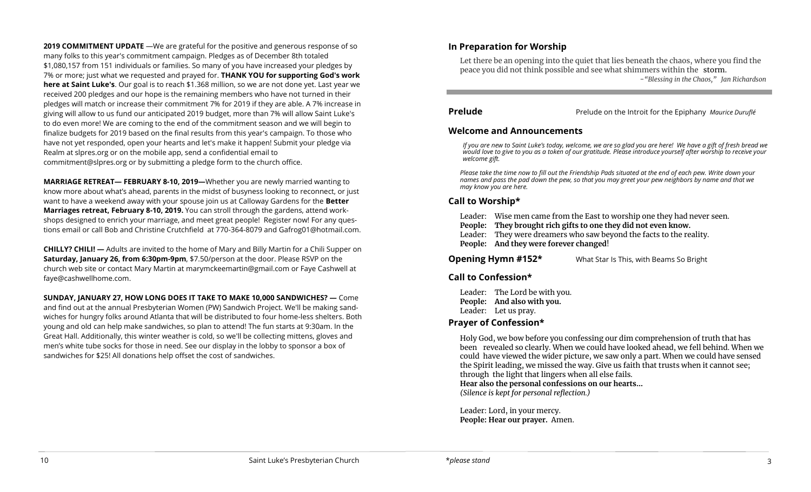**2019 COMMITMENT UPDATE** —We are grateful for the positive and generous response of so many folks to this year's commitment campaign. Pledges as of December 8th totaled \$1,080,157 from 151 individuals or families. So many of you have increased your pledges by 7% or more; just what we requested and prayed for. **THANK YOU for supporting God's work here at Saint Luke's**. Our goal is to reach \$1.368 million, so we are not done yet. Last year we received 200 pledges and our hope is the remaining members who have not turned in their pledges will match or increase their commitment 7% for 2019 if they are able. A 7% increase in giving will allow to us fund our anticipated 2019 budget, more than 7% will allow Saint Luke's to do even more! We are coming to the end of the commitment season and we will begin to finalize budgets for 2019 based on the final results from this year's campaign. To those who have not yet responded, open your hearts and let's make it happen! Submit your pledge via Realm at slpres.org or on the mobile app, send a confidential email to [commitment@slpres.org](mailto:commitment@slpres.org) or by submitting a pledge form to the church office.

**MARRIAGE RETREAT— FEBRUARY 8-10, 2019—**Whether you are newly married wanting to know more about what's ahead, parents in the midst of busyness looking to reconnect, or just want to have a weekend away with your spouse join us at Calloway Gardens for the **Better Marriages retreat, February 8-10, 2019.** You can stroll through the gardens, attend workshops designed to enrich your marriage, and meet great people! Register now! For any questions email or call Bob and Christine Crutchfield at 770-364-8079 and [Gafrog01@hotmail.com.](mailto:Gafrog01@hotmail.com) 

**CHILLY? CHILI! —** Adults are invited to the home of Mary and Billy Martin for a Chili Supper on **Saturday, January 26, from 6:30pm-9pm**, \$7.50/person at the door. Please RSVP on the church web site or contact Mary Martin at [marymckeemartin@gmail.com](mailto:marymckeemartin@gmail.com) or Faye Cashwell at [faye@cashwellhome.com.](mailto:faye@cashwellhome.com)

**SUNDAY, JANUARY 27, HOW LONG DOES IT TAKE TO MAKE 10,000 SANDWICHES? —** Come and find out at the annual Presbyterian Women (PW) Sandwich Project. We'll be making sandwiches for hungry folks around Atlanta that will be distributed to four home-less shelters. Both young and old can help make sandwiches, so plan to attend! The fun starts at 9:30am. In the Great Hall. Additionally, this winter weather is cold, so we'll be collecting mittens, gloves and men's white tube socks for those in need. See our display in the lobby to sponsor a box of sandwiches for \$25! All donations help offset the cost of sandwiches.

## **In Preparation for Worship**

Let there be an opening into the quiet that lies beneath the chaos, where you find the peace you did not think possible and see what shimmers within the storm. -*"Blessing in the Chaos," Jan Richardson*

**Prelude** Prelude on the Introit for the Epiphany *Maurice Duruflé* 

I

#### **Welcome and Announcements**

*If you are new to Saint Luke's today, welcome, we are so glad you are here! We have a gift of fresh bread we would love to give to you as a token of our gratitude. Please introduce yourself after worship to receive your welcome gift.*

*Please take the time now to fill out the Friendship Pads situated at the end of each pew. Write down your names and pass the pad down the pew, so that you may greet your pew neighbors by name and that we may know you are here.*

## **Call to Worship\***

- Leader: Wise men came from the East to worship one they had never seen.
- **People: They brought rich gifts to one they did not even know.**
- Leader: They were dreamers who saw beyond the facts to the reality.
- **People: And they were forever changed**!

**Opening Hymn #152\*** What Star Is This, with Beams So Bright

## **Call to Confession\***

Leader: The Lord be with you. **People: And also with you.**  Leader: Let us pray.

## **Prayer of Confession\***

Holy God, we bow before you confessing our dim comprehension of truth that has been revealed so clearly. When we could have looked ahead, we fell behind. When we could have viewed the wider picture, we saw only a part. When we could have sensed the Spirit leading, we missed the way. Give us faith that trusts when it cannot see; through the light that lingers when all else fails. **Hear also the personal confessions on our hearts…**

*(Silence is kept for personal reflection.)*

Leader: Lord, in your mercy. **People: Hear our prayer.** Amen.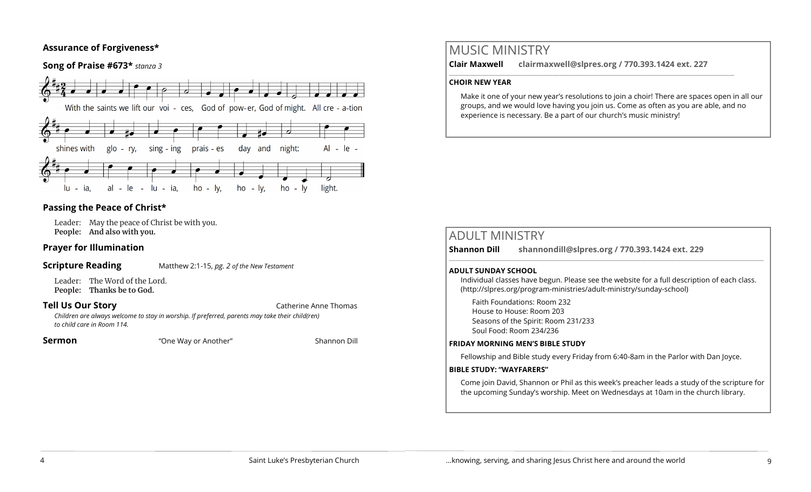## **Assurance of Forgiveness\***

## **Song of Praise #673\*** *stanza 3*



## **Passing the Peace of Christ\***

Leader: May the peace of Christ be with you. **People: And also with you.** 

## **Prayer for Illumination**

#### **Scripture Reading** Matthew 2:1-15, *pg. 2 of the New Testament*

Leader: The Word of the Lord.

**People: Thanks be to God.** 

**Tell Us Our Story Catherine Anne Thomas** 

*Children are always welcome to stay in worship. If preferred, parents may take their child(ren) to child care in Room 114.*

**Sermon Example 3** The Way or Another" Shannon Dill

# MUSIC MINISTRY

**Clair Maxwell clairmaxwell@slpres.org / 770.393.1424 ext. 227** 

 $\_$  , and the set of the set of the set of the set of the set of the set of the set of the set of the set of the set of the set of the set of the set of the set of the set of the set of the set of the set of the set of th

#### **CHOIR NEW YEAR**

Make it one of your new year's resolutions to join a choir! There are spaces open in all our groups, and we would love having you join us. Come as often as you are able, and no experience is necessary. Be a part of our church's music ministry!

| <b>ADULT MINISTRY</b><br><b>Shannon Dill</b> | shannondill@slpres.org / 770.393.1424 ext. 229                                                                                                                                  |
|----------------------------------------------|---------------------------------------------------------------------------------------------------------------------------------------------------------------------------------|
| <b>ADULT SUNDAY SCHOOL</b>                   | Individual classes have begun. Please see the website for a full description of each class.<br>(http://slpres.org/program-ministries/adult-ministry/sunday-school)              |
|                                              | Faith Foundations: Room 232<br>House to House: Room 203<br>Seasons of the Spirit: Room 231/233<br>Soul Food: Room 234/236                                                       |
|                                              | <b>FRIDAY MORNING MEN'S BIBLE STUDY</b>                                                                                                                                         |
|                                              | Fellowship and Bible study every Friday from 6:40-8am in the Parlor with Dan Joyce.                                                                                             |
| <b>BIBLE STUDY: "WAYFARERS"</b>              |                                                                                                                                                                                 |
|                                              | Come join David, Shannon or Phil as this week's preacher leads a study of the scripture for<br>the upcoming Sunday's worship. Meet on Wednesdays at 10am in the church library. |
|                                              |                                                                                                                                                                                 |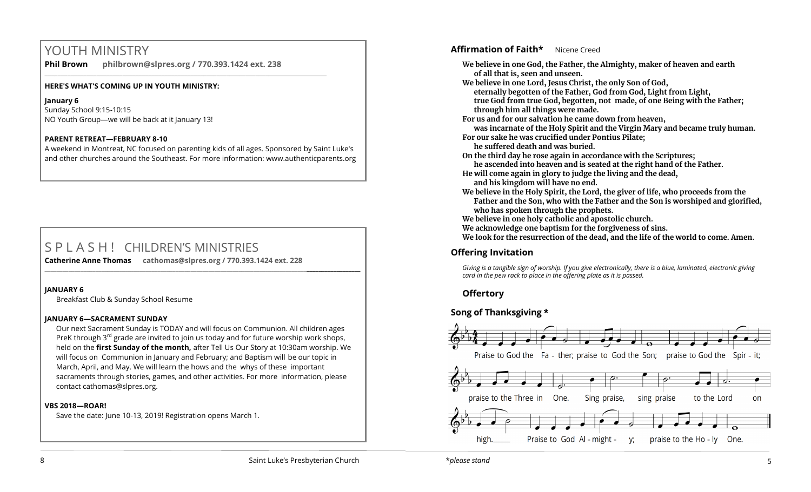# YOUTH MINISTRY

**Phil Brown philbrown@slpres.org / 770.393.1424 ext. 238** 

\_\_\_\_\_\_\_\_\_\_\_\_\_\_\_\_\_\_\_\_\_\_\_\_\_\_\_\_\_\_\_\_\_\_\_\_\_\_\_\_\_\_\_\_\_\_\_\_\_\_\_\_\_\_\_\_\_\_\_\_\_\_\_\_\_\_\_\_\_\_\_\_\_\_\_\_\_\_\_\_\_\_\_\_\_\_\_

#### **HERE'S WHAT'S COMING UP IN YOUTH MINISTRY:**

**January 6** Sunday School 9:15-10:15 NO Youth Group—we will be back at it January 13!

#### **PARENT RETREAT—FEBRUARY 8-10**

A weekend in Montreat, NC focused on parenting kids of all ages. Sponsored by Saint Luke's and other churches around the Southeast. For more information: [www.authenticparents.org](http://www.authenticparents.org)

# S P L A S H ! CHILDREN'S MINISTRIES

**Catherine Anne Thomas cathomas@slpres.org / 770.393.1424 ext. 228 \_\_\_\_\_\_\_\_\_\_\_\_\_\_\_\_\_\_\_\_\_\_\_\_\_\_\_\_\_\_\_\_\_\_\_\_\_\_\_\_\_\_\_\_\_\_\_\_\_\_\_\_\_\_\_\_\_\_\_\_\_\_\_\_\_\_\_\_\_\_\_\_\_\_\_\_\_\_\_\_\_\_\_\_\_\_\_\_\_\_\_\_\_\_\_\_\_\_\_\_\_\_\_\_\_\_** 

#### **JANUARY 6**

Breakfast Club & Sunday School Resume

#### **JANUARY 6—SACRAMENT SUNDAY**

Our next Sacrament Sunday is TODAY and will focus on Communion. All children ages PreK through  $3<sup>rd</sup>$  grade are invited to join us today and for future worship work shops, held on the **first Sunday of the month,** after Tell Us Our Story at 10:30am worship. We will focus on Communion in January and February; and Baptism will be our topic in March, April, and May. We will learn the hows and the whys of these important sacraments through stories, games, and other activities. For more information, please contact [cathomas@slpres.org.](mailto:cathomas@slpres.org)

#### **VBS 2018—ROAR!**

Save the date: June 10-13, 2019! Registration opens March 1.

## **Affirmation of Faith\*** Nicene Creed

**We believe in one God, the Father, the Almighty, maker of heaven and earth of all that is, seen and unseen. We believe in one Lord, Jesus Christ, the only Son of God, eternally begotten of the Father, God from God, Light from Light, true God from true God, begotten, not made, of one Being with the Father; through him all things were made. For us and for our salvation he came down from heaven, was incarnate of the Holy Spirit and the Virgin Mary and became truly human. For our sake he was crucified under Pontius Pilate; he suffered death and was buried. On the third day he rose again in accordance with the Scriptures; he ascended into heaven and is seated at the right hand of the Father. He will come again in glory to judge the living and the dead, and his kingdom will have no end. We believe in the Holy Spirit, the Lord, the giver of life, who proceeds from the Father and the Son, who with the Father and the Son is worshiped and glorified, who has spoken through the prophets. We believe in one holy catholic and apostolic church. We acknowledge one baptism for the forgiveness of sins. We look for the resurrection of the dead, and the life of the world to come. Amen. Offering Invitation**  *Giving is a tangible sign of worship. If you give electronically, there is a blue, laminated, electronic giving card in the pew rack to place in the offering plate as it is passed.*

## **Offertory**

## **Song of Thanksgiving**